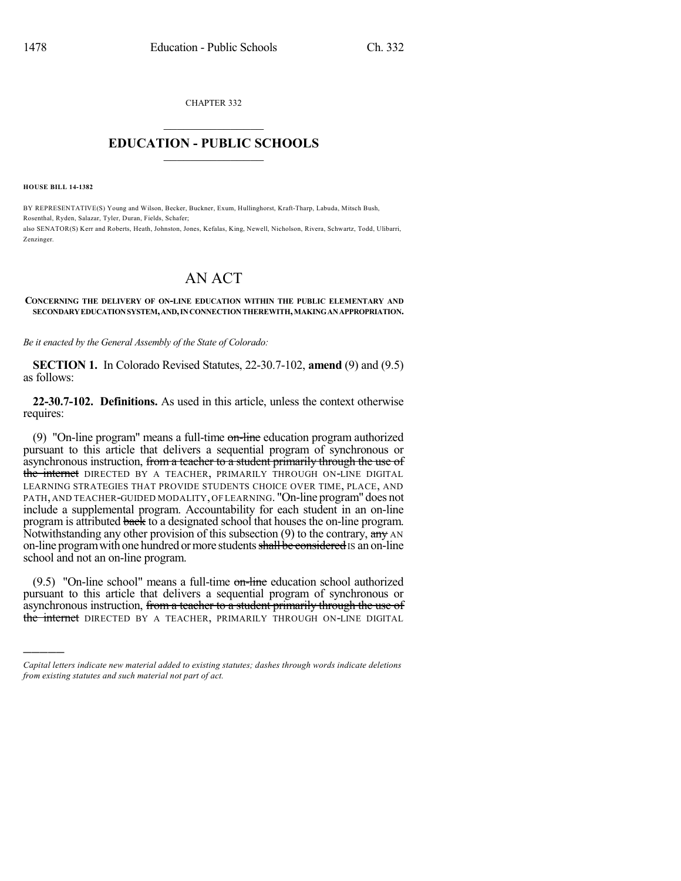CHAPTER 332  $\overline{\phantom{a}}$  . The set of the set of the set of the set of the set of the set of the set of the set of the set of the set of the set of the set of the set of the set of the set of the set of the set of the set of the set o

## **EDUCATION - PUBLIC SCHOOLS**  $\_$   $\_$   $\_$   $\_$   $\_$   $\_$   $\_$   $\_$   $\_$

**HOUSE BILL 14-1382**

)))))

BY REPRESENTATIVE(S) Young and Wilson, Becker, Buckner, Exum, Hullinghorst, Kraft-Tharp, Labuda, Mitsch Bush, Rosenthal, Ryden, Salazar, Tyler, Duran, Fields, Schafer; also SENATOR(S) Kerr and Roberts, Heath, Johnston, Jones, Kefalas, King, Newell, Nicholson, Rivera, Schwartz, Todd, Ulibarri, Zenzinger.

## AN ACT

## **CONCERNING THE DELIVERY OF ON-LINE EDUCATION WITHIN THE PUBLIC ELEMENTARY AND SECONDARYEDUCATIONSYSTEM,AND,INCONNECTIONTHEREWITH,MAKINGANAPPROPRIATION.**

*Be it enacted by the General Assembly of the State of Colorado:*

**SECTION 1.** In Colorado Revised Statutes, 22-30.7-102, **amend** (9) and (9.5) as follows:

**22-30.7-102. Definitions.** As used in this article, unless the context otherwise requires:

(9) "On-line program" means a full-time  $\theta$  on-line education program authorized pursuant to this article that delivers a sequential program of synchronous or asynchronous instruction, from a teacher to a student primarily through the use of the internet DIRECTED BY A TEACHER, PRIMARILY THROUGH ON-LINE DIGITAL LEARNING STRATEGIES THAT PROVIDE STUDENTS CHOICE OVER TIME, PLACE, AND PATH, AND TEACHER-GUIDED MODALITY, OF LEARNING. "On-line program" does not include a supplemental program. Accountability for each student in an on-line program is attributed back to a designated school that houses the on-line program. Notwithstanding any other provision of this subsection (9) to the contrary, any AN on-line program with one hundred or more students shall be considered is an on-line school and not an on-line program.

 $(9.5)$  "On-line school" means a full-time on-line education school authorized pursuant to this article that delivers a sequential program of synchronous or asynchronous instruction, from a teacher to a student primarily through the use of the internet DIRECTED BY A TEACHER, PRIMARILY THROUGH ON-LINE DIGITAL

*Capital letters indicate new material added to existing statutes; dashes through words indicate deletions from existing statutes and such material not part of act.*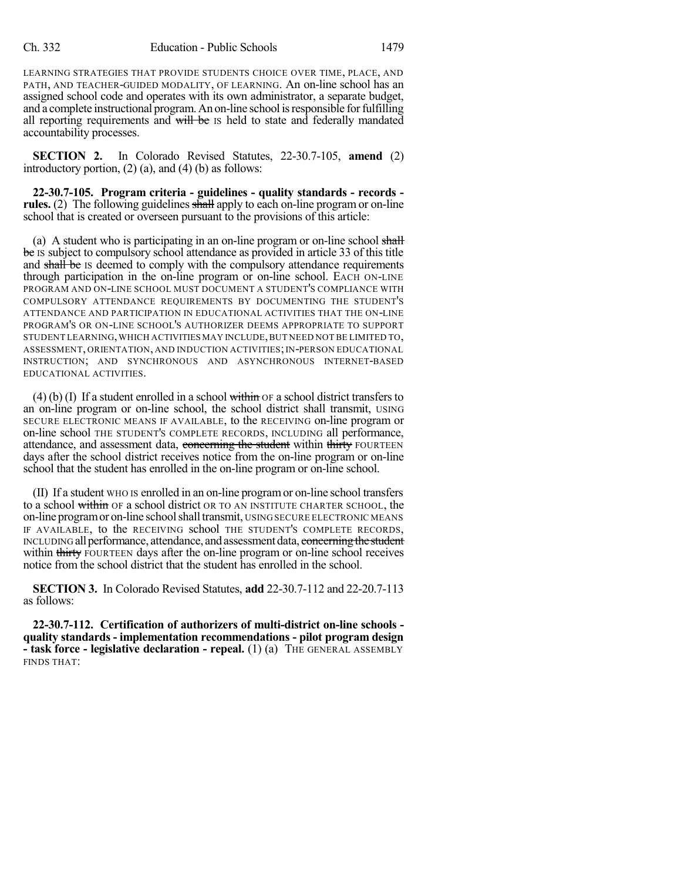LEARNING STRATEGIES THAT PROVIDE STUDENTS CHOICE OVER TIME, PLACE, AND PATH, AND TEACHER-GUIDED MODALITY, OF LEARNING. An on-line school has an assigned school code and operates with its own administrator, a separate budget, and a complete instructional program. An on-line school is responsible for fulfilling all reporting requirements and will be IS held to state and federally mandated accountability processes.

**SECTION 2.** In Colorado Revised Statutes, 22-30.7-105, **amend** (2) introductory portion,  $(2)$   $(a)$ , and  $(4)$   $(b)$  as follows:

**22-30.7-105. Program criteria - guidelines - quality standards - records rules.** (2) The following guidelines shall apply to each on-line program or on-line school that is created or overseen pursuant to the provisions of this article:

(a) A student who is participating in an on-line program or on-line school shall be IS subject to compulsory school attendance as provided in article 33 of this title and shall be IS deemed to comply with the compulsory attendance requirements through participation in the on-line program or on-line school. EACH ON-LINE PROGRAM AND ON-LINE SCHOOL MUST DOCUMENT A STUDENT'S COMPLIANCE WITH COMPULSORY ATTENDANCE REQUIREMENTS BY DOCUMENTING THE STUDENT'S ATTENDANCE AND PARTICIPATION IN EDUCATIONAL ACTIVITIES THAT THE ON-LINE PROGRAM'S OR ON-LINE SCHOOL'S AUTHORIZER DEEMS APPROPRIATE TO SUPPORT STUDENT LEARNING,WHICH ACTIVITIES MAY INCLUDE,BUT NEED NOT BE LIMITED TO, ASSESSMENT, ORIENTATION, AND INDUCTION ACTIVITIES;IN-PERSON EDUCATIONAL INSTRUCTION; AND SYNCHRONOUS AND ASYNCHRONOUS INTERNET-BASED EDUCATIONAL ACTIVITIES.

 $(4)$  (b) (I) If a student enrolled in a school within  $\sigma$  a school district transfers to an on-line program or on-line school, the school district shall transmit, USING SECURE ELECTRONIC MEANS IF AVAILABLE, to the RECEIVING on-line program or on-line school THE STUDENT'S COMPLETE RECORDS, INCLUDING all performance, attendance, and assessment data, concerning the student within thirty FOURTEEN days after the school district receives notice from the on-line program or on-line school that the student has enrolled in the on-line program or on-line school.

(II) If a student WHO IS enrolled in an on-line programor on-line school transfers to a school within OF a school district OR TO AN INSTITUTE CHARTER SCHOOL, the on-line program or on-line school shall transmit, USING SECURE ELECTRONIC MEANS IF AVAILABLE, to the RECEIVING school THE STUDENT'S COMPLETE RECORDS, INCLUDING all performance, attendance, and assessment data, concerning the student within thirty FOURTEEN days after the on-line program or on-line school receives notice from the school district that the student has enrolled in the school.

**SECTION 3.** In Colorado Revised Statutes, **add** 22-30.7-112 and 22-20.7-113 as follows:

**22-30.7-112. Certification of authorizers of multi-district on-line schools quality standards - implementation recommendations - pilot program design - task force - legislative declaration - repeal.** (1) (a) THE GENERAL ASSEMBLY FINDS THAT: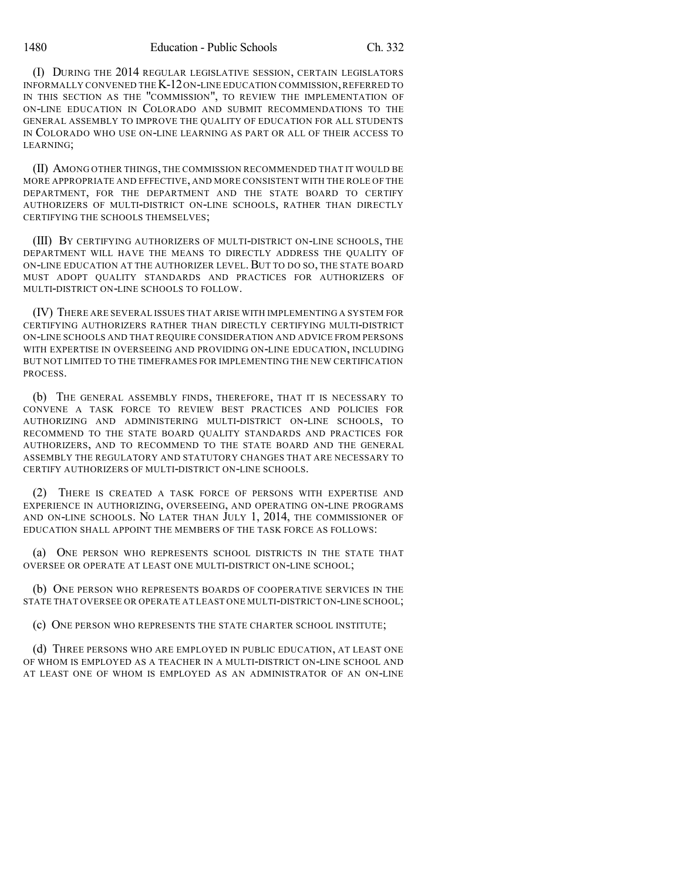1480 Education - Public Schools Ch. 332

(I) DURING THE 2014 REGULAR LEGISLATIVE SESSION, CERTAIN LEGISLATORS INFORMALLY CONVENED THE K-12ON-LINE EDUCATION COMMISSION,REFERRED TO IN THIS SECTION AS THE "COMMISSION", TO REVIEW THE IMPLEMENTATION OF ON-LINE EDUCATION IN COLORADO AND SUBMIT RECOMMENDATIONS TO THE GENERAL ASSEMBLY TO IMPROVE THE QUALITY OF EDUCATION FOR ALL STUDENTS IN COLORADO WHO USE ON-LINE LEARNING AS PART OR ALL OF THEIR ACCESS TO LEARNING;

(II) AMONG OTHER THINGS, THE COMMISSION RECOMMENDED THAT IT WOULD BE MORE APPROPRIATE AND EFFECTIVE, AND MORE CONSISTENT WITH THE ROLE OF THE DEPARTMENT, FOR THE DEPARTMENT AND THE STATE BOARD TO CERTIFY AUTHORIZERS OF MULTI-DISTRICT ON-LINE SCHOOLS, RATHER THAN DIRECTLY CERTIFYING THE SCHOOLS THEMSELVES;

(III) BY CERTIFYING AUTHORIZERS OF MULTI-DISTRICT ON-LINE SCHOOLS, THE DEPARTMENT WILL HAVE THE MEANS TO DIRECTLY ADDRESS THE QUALITY OF ON-LINE EDUCATION AT THE AUTHORIZER LEVEL.BUT TO DO SO, THE STATE BOARD MUST ADOPT QUALITY STANDARDS AND PRACTICES FOR AUTHORIZERS OF MULTI-DISTRICT ON-LINE SCHOOLS TO FOLLOW.

(IV) THERE ARE SEVERAL ISSUES THAT ARISE WITH IMPLEMENTING A SYSTEM FOR CERTIFYING AUTHORIZERS RATHER THAN DIRECTLY CERTIFYING MULTI-DISTRICT ON-LINE SCHOOLS AND THAT REQUIRE CONSIDERATION AND ADVICE FROM PERSONS WITH EXPERTISE IN OVERSEEING AND PROVIDING ON-LINE EDUCATION, INCLUDING BUT NOT LIMITED TO THE TIMEFRAMES FOR IMPLEMENTING THE NEW CERTIFICATION PROCESS.

(b) THE GENERAL ASSEMBLY FINDS, THEREFORE, THAT IT IS NECESSARY TO CONVENE A TASK FORCE TO REVIEW BEST PRACTICES AND POLICIES FOR AUTHORIZING AND ADMINISTERING MULTI-DISTRICT ON-LINE SCHOOLS, TO RECOMMEND TO THE STATE BOARD QUALITY STANDARDS AND PRACTICES FOR AUTHORIZERS, AND TO RECOMMEND TO THE STATE BOARD AND THE GENERAL ASSEMBLY THE REGULATORY AND STATUTORY CHANGES THAT ARE NECESSARY TO CERTIFY AUTHORIZERS OF MULTI-DISTRICT ON-LINE SCHOOLS.

(2) THERE IS CREATED A TASK FORCE OF PERSONS WITH EXPERTISE AND EXPERIENCE IN AUTHORIZING, OVERSEEING, AND OPERATING ON-LINE PROGRAMS AND ON-LINE SCHOOLS. NO LATER THAN JULY 1, 2014, THE COMMISSIONER OF EDUCATION SHALL APPOINT THE MEMBERS OF THE TASK FORCE AS FOLLOWS:

(a) ONE PERSON WHO REPRESENTS SCHOOL DISTRICTS IN THE STATE THAT OVERSEE OR OPERATE AT LEAST ONE MULTI-DISTRICT ON-LINE SCHOOL;

(b) ONE PERSON WHO REPRESENTS BOARDS OF COOPERATIVE SERVICES IN THE STATE THAT OVERSEE OR OPERATE AT LEAST ONE MULTI-DISTRICT ON-LINE SCHOOL;

(c) ONE PERSON WHO REPRESENTS THE STATE CHARTER SCHOOL INSTITUTE;

(d) THREE PERSONS WHO ARE EMPLOYED IN PUBLIC EDUCATION, AT LEAST ONE OF WHOM IS EMPLOYED AS A TEACHER IN A MULTI-DISTRICT ON-LINE SCHOOL AND AT LEAST ONE OF WHOM IS EMPLOYED AS AN ADMINISTRATOR OF AN ON-LINE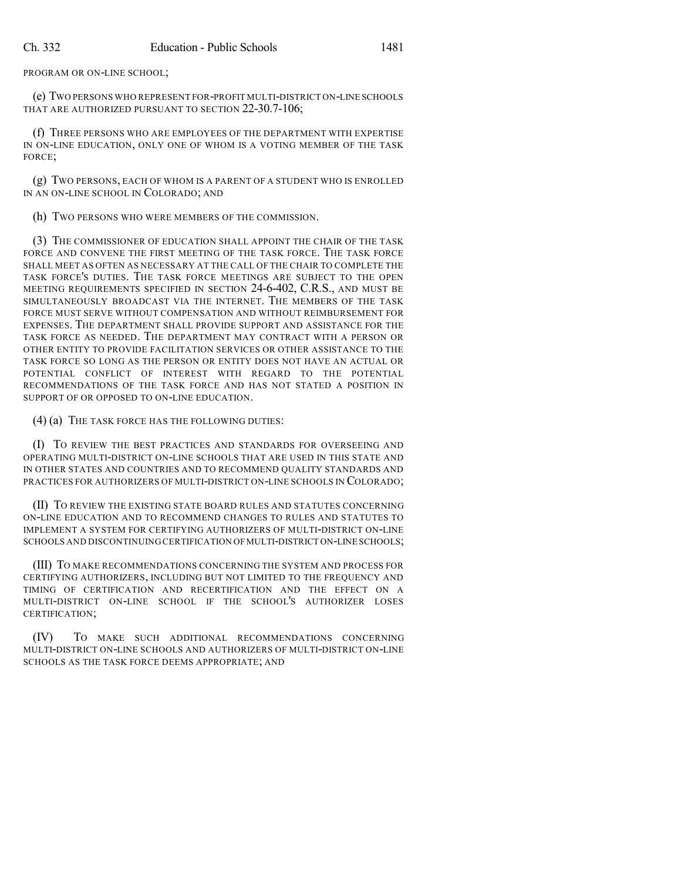PROGRAM OR ON-LINE SCHOOL;

(e) TWO PERSONS WHO REPRESENT FOR-PROFIT MULTI-DISTRICT ON-LINE SCHOOLS THAT ARE AUTHORIZED PURSUANT TO SECTION 22-30.7-106;

(f) THREE PERSONS WHO ARE EMPLOYEES OF THE DEPARTMENT WITH EXPERTISE IN ON-LINE EDUCATION, ONLY ONE OF WHOM IS A VOTING MEMBER OF THE TASK FORCE;

(g) TWO PERSONS, EACH OF WHOM IS A PARENT OF A STUDENT WHO IS ENROLLED IN AN ON-LINE SCHOOL IN COLORADO; AND

(h) TWO PERSONS WHO WERE MEMBERS OF THE COMMISSION.

(3) THE COMMISSIONER OF EDUCATION SHALL APPOINT THE CHAIR OF THE TASK FORCE AND CONVENE THE FIRST MEETING OF THE TASK FORCE. THE TASK FORCE SHALL MEET AS OFTEN AS NECESSARY AT THE CALL OF THE CHAIR TO COMPLETE THE TASK FORCE'S DUTIES. THE TASK FORCE MEETINGS ARE SUBJECT TO THE OPEN MEETING REQUIREMENTS SPECIFIED IN SECTION 24-6-402, C.R.S., AND MUST BE SIMULTANEOUSLY BROADCAST VIA THE INTERNET. THE MEMBERS OF THE TASK FORCE MUST SERVE WITHOUT COMPENSATION AND WITHOUT REIMBURSEMENT FOR EXPENSES. THE DEPARTMENT SHALL PROVIDE SUPPORT AND ASSISTANCE FOR THE TASK FORCE AS NEEDED. THE DEPARTMENT MAY CONTRACT WITH A PERSON OR OTHER ENTITY TO PROVIDE FACILITATION SERVICES OR OTHER ASSISTANCE TO THE TASK FORCE SO LONG AS THE PERSON OR ENTITY DOES NOT HAVE AN ACTUAL OR POTENTIAL CONFLICT OF INTEREST WITH REGARD TO THE POTENTIAL RECOMMENDATIONS OF THE TASK FORCE AND HAS NOT STATED A POSITION IN SUPPORT OF OR OPPOSED TO ON-LINE EDUCATION.

(4) (a) THE TASK FORCE HAS THE FOLLOWING DUTIES:

(I) TO REVIEW THE BEST PRACTICES AND STANDARDS FOR OVERSEEING AND OPERATING MULTI-DISTRICT ON-LINE SCHOOLS THAT ARE USED IN THIS STATE AND IN OTHER STATES AND COUNTRIES AND TO RECOMMEND QUALITY STANDARDS AND PRACTICES FOR AUTHORIZERS OF MULTI-DISTRICT ON-LINE SCHOOLS IN COLORADO;

(II) TO REVIEW THE EXISTING STATE BOARD RULES AND STATUTES CONCERNING ON-LINE EDUCATION AND TO RECOMMEND CHANGES TO RULES AND STATUTES TO IMPLEMENT A SYSTEM FOR CERTIFYING AUTHORIZERS OF MULTI-DISTRICT ON-LINE SCHOOLS AND DISCONTINUING CERTIFICATION OF MULTI-DISTRICT ON-LINE SCHOOLS;

(III) TO MAKE RECOMMENDATIONS CONCERNING THE SYSTEM AND PROCESS FOR CERTIFYING AUTHORIZERS, INCLUDING BUT NOT LIMITED TO THE FREQUENCY AND TIMING OF CERTIFICATION AND RECERTIFICATION AND THE EFFECT ON A MULTI-DISTRICT ON-LINE SCHOOL IF THE SCHOOL'S AUTHORIZER LOSES CERTIFICATION;

(IV) TO MAKE SUCH ADDITIONAL RECOMMENDATIONS CONCERNING MULTI-DISTRICT ON-LINE SCHOOLS AND AUTHORIZERS OF MULTI-DISTRICT ON-LINE SCHOOLS AS THE TASK FORCE DEEMS APPROPRIATE; AND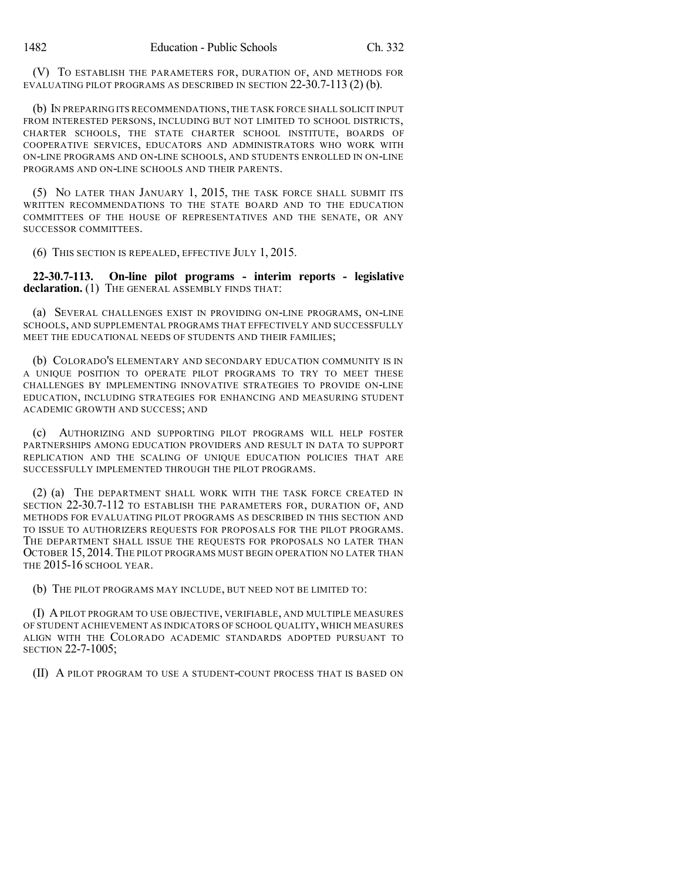(V) TO ESTABLISH THE PARAMETERS FOR, DURATION OF, AND METHODS FOR EVALUATING PILOT PROGRAMS AS DESCRIBED IN SECTION 22-30.7-113 (2) (b).

(b) IN PREPARING ITS RECOMMENDATIONS, THE TASK FORCE SHALL SOLICIT INPUT FROM INTERESTED PERSONS, INCLUDING BUT NOT LIMITED TO SCHOOL DISTRICTS, CHARTER SCHOOLS, THE STATE CHARTER SCHOOL INSTITUTE, BOARDS OF COOPERATIVE SERVICES, EDUCATORS AND ADMINISTRATORS WHO WORK WITH ON-LINE PROGRAMS AND ON-LINE SCHOOLS, AND STUDENTS ENROLLED IN ON-LINE PROGRAMS AND ON-LINE SCHOOLS AND THEIR PARENTS.

(5) NO LATER THAN JANUARY 1, 2015, THE TASK FORCE SHALL SUBMIT ITS WRITTEN RECOMMENDATIONS TO THE STATE BOARD AND TO THE EDUCATION COMMITTEES OF THE HOUSE OF REPRESENTATIVES AND THE SENATE, OR ANY SUCCESSOR COMMITTEES.

(6) THIS SECTION IS REPEALED, EFFECTIVE JULY 1, 2015.

**22-30.7-113. On-line pilot programs - interim reports - legislative** declaration. (1) THE GENERAL ASSEMBLY FINDS THAT:

(a) SEVERAL CHALLENGES EXIST IN PROVIDING ON-LINE PROGRAMS, ON-LINE SCHOOLS, AND SUPPLEMENTAL PROGRAMS THAT EFFECTIVELY AND SUCCESSFULLY MEET THE EDUCATIONAL NEEDS OF STUDENTS AND THEIR FAMILIES;

(b) COLORADO'S ELEMENTARY AND SECONDARY EDUCATION COMMUNITY IS IN A UNIQUE POSITION TO OPERATE PILOT PROGRAMS TO TRY TO MEET THESE CHALLENGES BY IMPLEMENTING INNOVATIVE STRATEGIES TO PROVIDE ON-LINE EDUCATION, INCLUDING STRATEGIES FOR ENHANCING AND MEASURING STUDENT ACADEMIC GROWTH AND SUCCESS; AND

(c) AUTHORIZING AND SUPPORTING PILOT PROGRAMS WILL HELP FOSTER PARTNERSHIPS AMONG EDUCATION PROVIDERS AND RESULT IN DATA TO SUPPORT REPLICATION AND THE SCALING OF UNIQUE EDUCATION POLICIES THAT ARE SUCCESSFULLY IMPLEMENTED THROUGH THE PILOT PROGRAMS.

(2) (a) THE DEPARTMENT SHALL WORK WITH THE TASK FORCE CREATED IN SECTION 22-30.7-112 TO ESTABLISH THE PARAMETERS FOR, DURATION OF, AND METHODS FOR EVALUATING PILOT PROGRAMS AS DESCRIBED IN THIS SECTION AND TO ISSUE TO AUTHORIZERS REQUESTS FOR PROPOSALS FOR THE PILOT PROGRAMS. THE DEPARTMENT SHALL ISSUE THE REQUESTS FOR PROPOSALS NO LATER THAN OCTOBER 15, 2014.THE PILOT PROGRAMS MUST BEGIN OPERATION NO LATER THAN THE 2015-16 SCHOOL YEAR.

(b) THE PILOT PROGRAMS MAY INCLUDE, BUT NEED NOT BE LIMITED TO:

(I) APILOT PROGRAM TO USE OBJECTIVE, VERIFIABLE, AND MULTIPLE MEASURES OF STUDENT ACHIEVEMENT AS INDICATORS OF SCHOOL QUALITY, WHICH MEASURES ALIGN WITH THE COLORADO ACADEMIC STANDARDS ADOPTED PURSUANT TO SECTION 22-7-1005;

(II) A PILOT PROGRAM TO USE A STUDENT-COUNT PROCESS THAT IS BASED ON